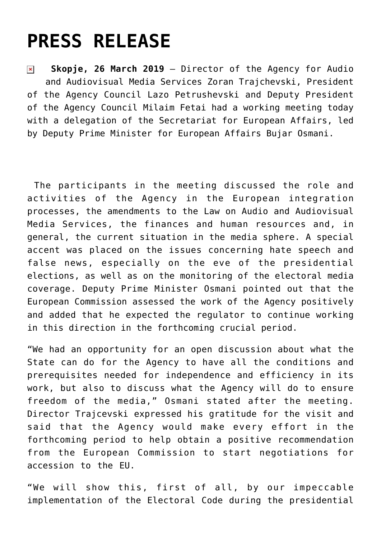## **[PRESS RELEASE](https://avmu.mk/en/2019/03/26/press-release-6/)**

 **Skopje, 26 March 2019** – Director of the Agency for Audio  $\pmb{\times}$ and Audiovisual Media Services Zoran Trajchevski, President of the Agency Council Lazo Petrushevski and Deputy President of the Agency Council Milaim Fetai had a working meeting today with a delegation of the Secretariat for European Affairs, led by Deputy Prime Minister for European Affairs Bujar Osmani.

 The participants in the meeting discussed the role and activities of the Agency in the European integration processes, the amendments to the Law on Audio and Audiovisual Media Services, the finances and human resources and, in general, the current situation in the media sphere. A special accent was placed on the issues concerning hate speech and false news, especially on the eve of the presidential elections, as well as on the monitoring of the electoral media coverage. Deputy Prime Minister Osmani pointed out that the European Commission assessed the work of the Agency positively and added that he expected the regulator to continue working in this direction in the forthcoming crucial period.

"We had an opportunity for an open discussion about what the State can do for the Agency to have all the conditions and prerequisites needed for independence and efficiency in its work, but also to discuss what the Agency will do to ensure freedom of the media," Osmani stated after the meeting. Director Trajcevski expressed his gratitude for the visit and said that the Agency would make every effort in the forthcoming period to help obtain a positive recommendation from the European Commission to start negotiations for accession to the EU.

"We will show this, first of all, by our impeccable implementation of the Electoral Code during the presidential